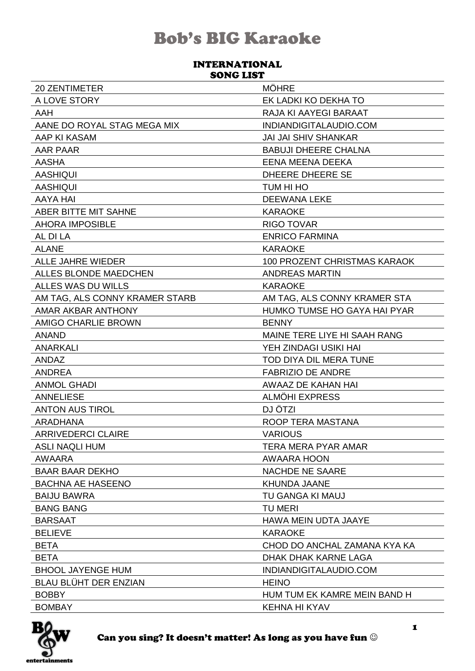#### **INTERNATIONAL SONG LIST**

| <b>20 ZENTIMETER</b>           | <b>MÖHRE</b>                        |
|--------------------------------|-------------------------------------|
| A LOVE STORY                   | EK LADKI KO DEKHA TO                |
| <b>AAH</b>                     | RAJA KI AAYEGI BARAAT               |
| AANE DO ROYAL STAG MEGA MIX    | INDIANDIGITALAUDIO.COM              |
| AAP KI KASAM                   | <b>JAI JAI SHIV SHANKAR</b>         |
| <b>AAR PAAR</b>                | <b>BABUJI DHEERE CHALNA</b>         |
| <b>AASHA</b>                   | EENA MEENA DEEKA                    |
| <b>AASHIQUI</b>                | <b>DHEERE DHEERE SE</b>             |
| <b>AASHIQUI</b>                | TUM HI HO                           |
| AAYA HAI                       | <b>DEEWANA LEKE</b>                 |
| ABER BITTE MIT SAHNE           | <b>KARAOKE</b>                      |
| <b>AHORA IMPOSIBLE</b>         | <b>RIGO TOVAR</b>                   |
| AL DI LA                       | <b>ENRICO FARMINA</b>               |
| <b>ALANE</b>                   | <b>KARAOKE</b>                      |
| <b>ALLE JAHRE WIEDER</b>       | <b>100 PROZENT CHRISTMAS KARAOK</b> |
| ALLES BLONDE MAEDCHEN          | <b>ANDREAS MARTIN</b>               |
| ALLES WAS DU WILLS             | <b>KARAOKE</b>                      |
| AM TAG, ALS CONNY KRAMER STARB | AM TAG, ALS CONNY KRAMER STA        |
| AMAR AKBAR ANTHONY             | HUMKO TUMSE HO GAYA HAI PYAR        |
| AMIGO CHARLIE BROWN            | <b>BENNY</b>                        |
| <b>ANAND</b>                   | MAINE TERE LIYE HI SAAH RANG        |
| <b>ANARKALI</b>                | YEH ZINDAGI USIKI HAI               |
| ANDAZ                          | TOD DIYA DIL MERA TUNE              |
| <b>ANDREA</b>                  | <b>FABRIZIO DE ANDRE</b>            |
| <b>ANMOL GHADI</b>             | AWAAZ DE KAHAN HAI                  |
| <b>ANNELIESE</b>               | <b>ALMOHI EXPRESS</b>               |
| <b>ANTON AUS TIROL</b>         | DJ ÖTZI                             |
| ARADHANA                       | ROOP TERA MASTANA                   |
| <b>ARRIVEDERCI CLAIRE</b>      | <b>VARIOUS</b>                      |
| <b>ASLI NAQLI HUM</b>          | TERA MERA PYAR AMAR                 |
| AWAARA                         | AWAARA HOON                         |
| <b>BAAR BAAR DEKHO</b>         | <b>NACHDE NE SAARE</b>              |
| <b>BACHNA AE HASEENO</b>       | <b>KHUNDA JAANE</b>                 |
| <b>BAIJU BAWRA</b>             | TU GANGA KI MAUJ                    |
| <b>BANG BANG</b>               | <b>TU MERI</b>                      |
| <b>BARSAAT</b>                 | HAWA MEIN UDTA JAAYE                |
| <b>BELIEVE</b>                 | <b>KARAOKE</b>                      |
| <b>BETA</b>                    | CHOD DO ANCHAL ZAMANA KYA KA        |
| <b>BETA</b>                    | DHAK DHAK KARNE LAGA                |
| <b>BHOOL JAYENGE HUM</b>       | INDIANDIGITALAUDIO.COM              |
| BLAU BLÜHT DER ENZIAN          | <b>HEINO</b>                        |
| <b>BOBBY</b>                   | HUM TUM EK KAMRE MEIN BAND H        |
| <b>BOMBAY</b>                  | KEHNA HI KYAV                       |

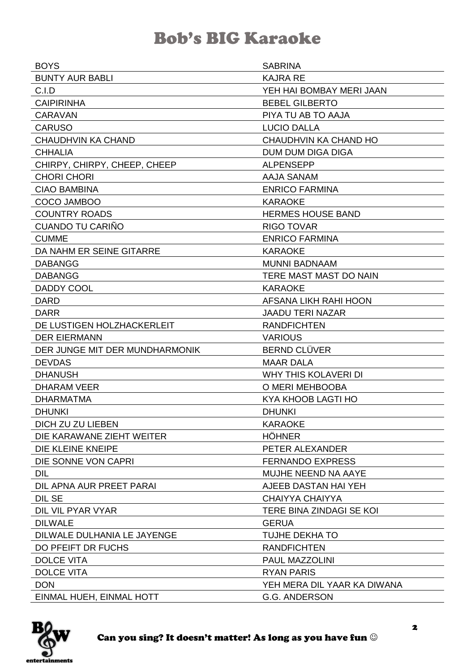| <b>BOYS</b>                    | <b>SABRINA</b>              |
|--------------------------------|-----------------------------|
| <b>BUNTY AUR BABLI</b>         | <b>KAJRA RE</b>             |
| C.I.D                          | YEH HAI BOMBAY MERI JAAN    |
| <b>CAIPIRINHA</b>              | <b>BEBEL GILBERTO</b>       |
| <b>CARAVAN</b>                 | PIYA TU AB TO AAJA          |
| <b>CARUSO</b>                  | <b>LUCIO DALLA</b>          |
| <b>CHAUDHVIN KA CHAND</b>      | CHAUDHVIN KA CHAND HO       |
| <b>CHHALIA</b>                 | <b>DUM DUM DIGA DIGA</b>    |
| CHIRPY, CHIRPY, CHEEP, CHEEP   | <b>ALPENSEPP</b>            |
| <b>CHORI CHORI</b>             | <b>AAJA SANAM</b>           |
| <b>CIAO BAMBINA</b>            | <b>ENRICO FARMINA</b>       |
| COCO JAMBOO                    | <b>KARAOKE</b>              |
| <b>COUNTRY ROADS</b>           | <b>HERMES HOUSE BAND</b>    |
| CUANDO TU CARIÑO               | <b>RIGO TOVAR</b>           |
| <b>CUMME</b>                   | <b>ENRICO FARMINA</b>       |
| DA NAHM ER SEINE GITARRE       | <b>KARAOKE</b>              |
| <b>DABANGG</b>                 | <b>MUNNI BADNAAM</b>        |
| <b>DABANGG</b>                 | TERE MAST MAST DO NAIN      |
| <b>DADDY COOL</b>              | <b>KARAOKE</b>              |
| <b>DARD</b>                    | AFSANA LIKH RAHI HOON       |
| <b>DARR</b>                    | <b>JAADU TERI NAZAR</b>     |
| DE LUSTIGEN HOLZHACKERLEIT     | <b>RANDFICHTEN</b>          |
| <b>DER EIERMANN</b>            | <b>VARIOUS</b>              |
| DER JUNGE MIT DER MUNDHARMONIK | <b>BERND CLÜVER</b>         |
| <b>DEVDAS</b>                  | <b>MAAR DALA</b>            |
| <b>DHANUSH</b>                 | <b>WHY THIS KOLAVERI DI</b> |
| <b>DHARAM VEER</b>             | O MERI MEHBOOBA             |
| <b>DHARMATMA</b>               | KYA KHOOB LAGTI HO          |
| <b>DHUNKI</b>                  | <b>DHUNKI</b>               |
| DICH ZU ZU LIEBEN              | <b>KARAOKE</b>              |
| DIE KARAWANE ZIEHT WEITER      | <b>HÖHNER</b>               |
| DIE KLEINE KNEIPE              | PETER ALEXANDER             |
| DIE SONNE VON CAPRI            | <b>FERNANDO EXPRESS</b>     |
| <b>DIL</b>                     | MUJHE NEEND NA AAYE         |
| DIL APNA AUR PREET PARAI       | AJEEB DASTAN HAI YEH        |
| <b>DIL SE</b>                  | <b>CHAIYYA CHAIYYA</b>      |
| DIL VIL PYAR VYAR              | TERE BINA ZINDAGI SE KOI    |
| <b>DILWALE</b>                 | <b>GERUA</b>                |
| DILWALE DULHANIA LE JAYENGE    | TUJHE DEKHA TO              |
| DO PFEIFT DR FUCHS             | <b>RANDFICHTEN</b>          |
| <b>DOLCE VITA</b>              | PAUL MAZZOLINI              |
| <b>DOLCE VITA</b>              | <b>RYAN PARIS</b>           |
| <b>DON</b>                     | YEH MERA DIL YAAR KA DIWANA |
| EINMAL HUEH, EINMAL HOTT       | <b>G.G. ANDERSON</b>        |

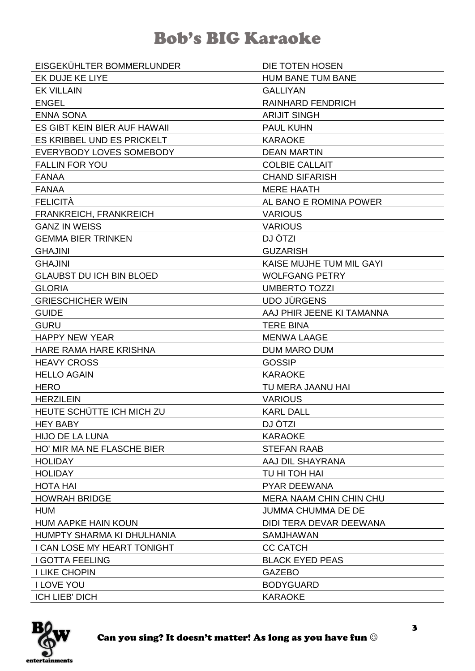| EISGEKÜHLTER BOMMERLUNDER       | DIE TOTEN HOSEN                |
|---------------------------------|--------------------------------|
| EK DUJE KE LIYE                 | <b>HUM BANE TUM BANE</b>       |
| <b>EK VILLAIN</b>               | <b>GALLIYAN</b>                |
| <b>ENGEL</b>                    | <b>RAINHARD FENDRICH</b>       |
| <b>ENNA SONA</b>                | <b>ARIJIT SINGH</b>            |
| ES GIBT KEIN BIER AUF HAWAII    | <b>PAUL KUHN</b>               |
| ES KRIBBEL UND ES PRICKELT      | <b>KARAOKE</b>                 |
| EVERYBODY LOVES SOMEBODY        | <b>DEAN MARTIN</b>             |
| <b>FALLIN FOR YOU</b>           | <b>COLBIE CALLAIT</b>          |
| <b>FANAA</b>                    | <b>CHAND SIFARISH</b>          |
| <b>FANAA</b>                    | <b>MERE HAATH</b>              |
| <b>FELICITÀ</b>                 | AL BANO E ROMINA POWER         |
| <b>FRANKREICH, FRANKREICH</b>   | <b>VARIOUS</b>                 |
| <b>GANZ IN WEISS</b>            | <b>VARIOUS</b>                 |
| <b>GEMMA BIER TRINKEN</b>       | DJ ÖTZI                        |
| <b>GHAJINI</b>                  | <b>GUZARISH</b>                |
| <b>GHAJINI</b>                  | KAISE MUJHE TUM MIL GAYI       |
| <b>GLAUBST DU ICH BIN BLOED</b> | <b>WOLFGANG PETRY</b>          |
| <b>GLORIA</b>                   | <b>UMBERTO TOZZI</b>           |
| <b>GRIESCHICHER WEIN</b>        | <b>UDO JÜRGENS</b>             |
| <b>GUIDE</b>                    | AAJ PHIR JEENE KI TAMANNA      |
| <b>GURU</b>                     | <b>TERE BINA</b>               |
| <b>HAPPY NEW YEAR</b>           | <b>MENWA LAAGE</b>             |
| HARE RAMA HARE KRISHNA          | <b>DUM MARO DUM</b>            |
| <b>HEAVY CROSS</b>              | <b>GOSSIP</b>                  |
| <b>HELLO AGAIN</b>              | <b>KARAOKE</b>                 |
| <b>HERO</b>                     | TU MERA JAANU HAI              |
| <b>HERZILEIN</b>                |                                |
|                                 | <b>VARIOUS</b>                 |
| HEUTE SCHÜTTE ICH MICH ZU       | <b>KARL DALL</b>               |
| <b>HEY BABY</b>                 | DJ ÖTZI                        |
| <b>HIJO DE LA LUNA</b>          | <b>KARAOKE</b>                 |
| HO' MIR MA NE FLASCHE BIER      | <b>STEFAN RAAB</b>             |
| <b>HOLIDAY</b>                  | AAJ DIL SHAYRANA               |
| <b>HOLIDAY</b>                  | TU HI TOH HAI                  |
| <b>HOTA HAI</b>                 | <b>PYAR DEEWANA</b>            |
| <b>HOWRAH BRIDGE</b>            | <b>MERA NAAM CHIN CHIN CHU</b> |
| <b>HUM</b>                      | <b>JUMMA CHUMMA DE DE</b>      |
| <b>HUM AAPKE HAIN KOUN</b>      | DIDI TERA DEVAR DEEWANA        |
| HUMPTY SHARMA KI DHULHANIA      | <b>SAMJHAWAN</b>               |
| I CAN LOSE MY HEART TONIGHT     | <b>CC CATCH</b>                |
| <b>I GOTTA FEELING</b>          | <b>BLACK EYED PEAS</b>         |
| <b>I LIKE CHOPIN</b>            | <b>GAZEBO</b>                  |
| <b>I LOVE YOU</b>               | <b>BODYGUARD</b>               |

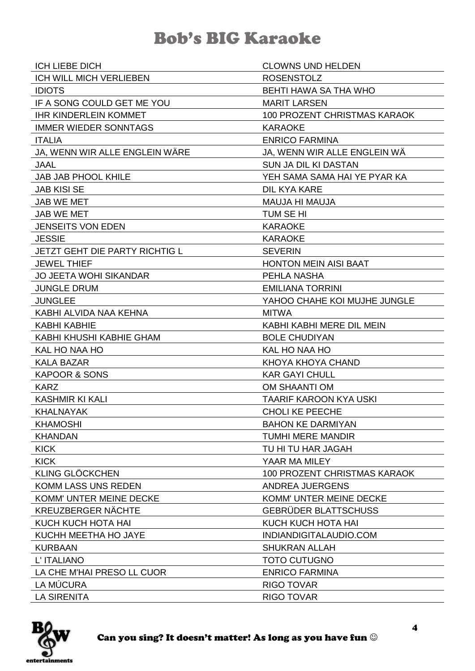| <b>ICH LIEBE DICH</b>                 | <b>CLOWNS UND HELDEN</b>     |
|---------------------------------------|------------------------------|
| ICH WILL MICH VERLIEBEN               | <b>ROSENSTOLZ</b>            |
| <b>IDIOTS</b>                         | BEHTI HAWA SA THA WHO        |
| IF A SONG COULD GET ME YOU            | <b>MARIT LARSEN</b>          |
| <b>IHR KINDERLEIN KOMMET</b>          | 100 PROZENT CHRISTMAS KARAOK |
| <b>IMMER WIEDER SONNTAGS</b>          | <b>KARAOKE</b>               |
| <b>ITALIA</b>                         | <b>ENRICO FARMINA</b>        |
| JA, WENN WIR ALLE ENGLEIN WÄRE        | JA, WENN WIR ALLE ENGLEIN WA |
| <b>JAAL</b>                           | <b>SUN JA DIL KI DASTAN</b>  |
| <b>JAB JAB PHOOL KHILE</b>            | YEH SAMA SAMA HAI YE PYAR KA |
| <b>JAB KISI SE</b>                    | DIL KYA KARE                 |
| <b>JAB WE MET</b>                     | MAUJA HI MAUJA               |
| <b>JAB WE MET</b>                     | TUM SE HI                    |
| <b>JENSEITS VON EDEN</b>              | <b>KARAOKE</b>               |
| <b>JESSIE</b>                         | <b>KARAOKE</b>               |
| <b>JETZT GEHT DIE PARTY RICHTIG L</b> | <b>SEVERIN</b>               |
| <b>JEWEL THIEF</b>                    | <b>HONTON MEIN AISI BAAT</b> |
| <b>JO JEETA WOHI SIKANDAR</b>         | PEHLA NASHA                  |
| <b>JUNGLE DRUM</b>                    | <b>EMILIANA TORRINI</b>      |
| <b>JUNGLEE</b>                        | YAHOO CHAHE KOI MUJHE JUNGLE |
| KABHI ALVIDA NAA KEHNA                | <b>MITWA</b>                 |
| <b>KABHI KABHIE</b>                   | KABHI KABHI MERE DIL MEIN    |
| KABHI KHUSHI KABHIE GHAM              | <b>BOLE CHUDIYAN</b>         |
| KAL HO NAA HO                         | KAL HO NAA HO                |
| <b>KALA BAZAR</b>                     | KHOYA KHOYA CHAND            |
| <b>KAPOOR &amp; SONS</b>              | <b>KAR GAYI CHULL</b>        |
| <b>KARZ</b>                           | OM SHAANTI OM                |
| <b>KASHMIR KI KALI</b>                | TAARIF KAROON KYA USKI       |
| <b>KHALNAYAK</b>                      | <b>CHOLI KE PEECHE</b>       |
| <b>KHAMOSHI</b>                       | <b>BAHON KE DARMIYAN</b>     |
| <b>KHANDAN</b>                        | <b>TUMHI MERE MANDIR</b>     |
| <b>KICK</b>                           | TU HI TU HAR JAGAH           |
| <b>KICK</b>                           | YAAR MA MILEY                |
| <b>KLING GLÖCKCHEN</b>                | 100 PROZENT CHRISTMAS KARAOK |
| <b>KOMM LASS UNS REDEN</b>            | ANDREA JUERGENS              |
| KOMM' UNTER MEINE DECKE               | KOMM' UNTER MEINE DECKE      |
| <b>KREUZBERGER NÄCHTE</b>             | <b>GEBRÜDER BLATTSCHUSS</b>  |
| KUCH KUCH HOTA HAI                    | KUCH KUCH HOTA HAI           |
| KUCHH MEETHA HO JAYE                  | INDIANDIGITALAUDIO.COM       |
| <b>KURBAAN</b>                        | <b>SHUKRAN ALLAH</b>         |
| L' ITALIANO                           | <b>TOTO CUTUGNO</b>          |
| LA CHE M'HAI PRESO LL CUOR            | <b>ENRICO FARMINA</b>        |
| LA MÚCURA                             | <b>RIGO TOVAR</b>            |
| <b>LA SIRENITA</b>                    | <b>RIGO TOVAR</b>            |

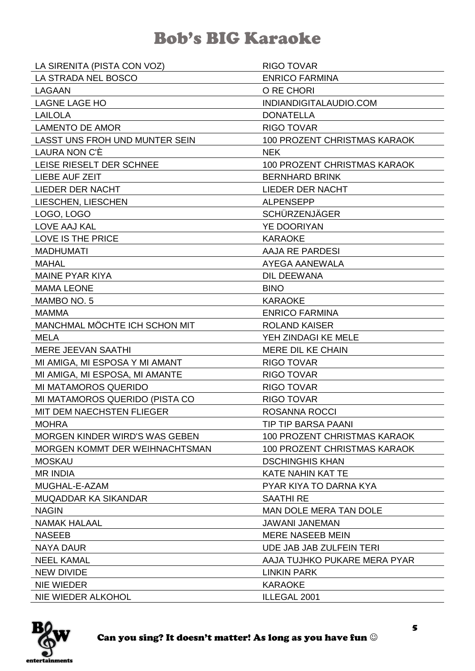| LA SIRENITA (PISTA CON VOZ)           | <b>RIGO TOVAR</b>                   |
|---------------------------------------|-------------------------------------|
| LA STRADA NEL BOSCO                   | <b>ENRICO FARMINA</b>               |
| LAGAAN                                | O RE CHORI                          |
| <b>LAGNE LAGE HO</b>                  | INDIANDIGITALAUDIO.COM              |
| <b>LAILOLA</b>                        | <b>DONATELLA</b>                    |
| <b>LAMENTO DE AMOR</b>                | <b>RIGO TOVAR</b>                   |
| LASST UNS FROH UND MUNTER SEIN        | <b>100 PROZENT CHRISTMAS KARAOK</b> |
| LAURA NON C'È                         | <b>NEK</b>                          |
| LEISE RIESELT DER SCHNEE              | 100 PROZENT CHRISTMAS KARAOK        |
| LIEBE AUF ZEIT                        | <b>BERNHARD BRINK</b>               |
| LIEDER DER NACHT                      | LIEDER DER NACHT                    |
| LIESCHEN, LIESCHEN                    | <b>ALPENSEPP</b>                    |
| LOGO, LOGO                            | <b>SCHÜRZENJÄGER</b>                |
| LOVE AAJ KAL                          | YE DOORIYAN                         |
| LOVE IS THE PRICE                     | <b>KARAOKE</b>                      |
| <b>MADHUMATI</b>                      | AAJA RE PARDESI                     |
| <b>MAHAL</b>                          | AYEGA AANEWALA                      |
| <b>MAINE PYAR KIYA</b>                | <b>DIL DEEWANA</b>                  |
| <b>MAMA LEONE</b>                     | <b>BINO</b>                         |
| MAMBO NO. 5                           | <b>KARAOKE</b>                      |
| <b>MAMMA</b>                          | <b>ENRICO FARMINA</b>               |
| MANCHMAL MÖCHTE ICH SCHON MIT         | <b>ROLAND KAISER</b>                |
| <b>MELA</b>                           | YEH ZINDAGI KE MELE                 |
| <b>MERE JEEVAN SAATHI</b>             | <b>MERE DIL KE CHAIN</b>            |
| MI AMIGA, MI ESPOSA Y MI AMANT        | <b>RIGO TOVAR</b>                   |
| MI AMIGA, MI ESPOSA, MI AMANTE        | <b>RIGO TOVAR</b>                   |
| MI MATAMOROS QUERIDO                  | <b>RIGO TOVAR</b>                   |
| MI MATAMOROS QUERIDO (PISTA CO        | <b>RIGO TOVAR</b>                   |
| MIT DEM NAECHSTEN FLIEGER             | ROSANNA ROCCI                       |
| <b>MOHRA</b>                          | <b>TIP TIP BARSA PAANI</b>          |
| <b>MORGEN KINDER WIRD'S WAS GEBEN</b> | <b>100 PROZENT CHRISTMAS KARAOK</b> |
| MORGEN KOMMT DER WEIHNACHTSMAN        | <b>100 PROZENT CHRISTMAS KARAOK</b> |
| <b>MOSKAU</b>                         | <b>DSCHINGHIS KHAN</b>              |
| <b>MR INDIA</b>                       | <b>KATE NAHIN KAT TE</b>            |
| MUGHAL-E-AZAM                         | PYAR KIYA TO DARNA KYA              |
| <b>MUQADDAR KA SIKANDAR</b>           | <b>SAATHI RE</b>                    |
| <b>NAGIN</b>                          | <b>MAN DOLE MERA TAN DOLE</b>       |
| <b>NAMAK HALAAL</b>                   | <b>JAWANI JANEMAN</b>               |
| <b>NASEEB</b>                         | <b>MERE NASEEB MEIN</b>             |
| <b>NAYA DAUR</b>                      | UDE JAB JAB ZULFEIN TERI            |
| <b>NEEL KAMAL</b>                     | AAJA TUJHKO PUKARE MERA PYAR        |
| <b>NEW DIVIDE</b>                     | <b>LINKIN PARK</b>                  |
| <b>NIE WIEDER</b>                     | <b>KARAOKE</b>                      |
| NIE WIEDER ALKOHOL                    | ILLEGAL 2001                        |

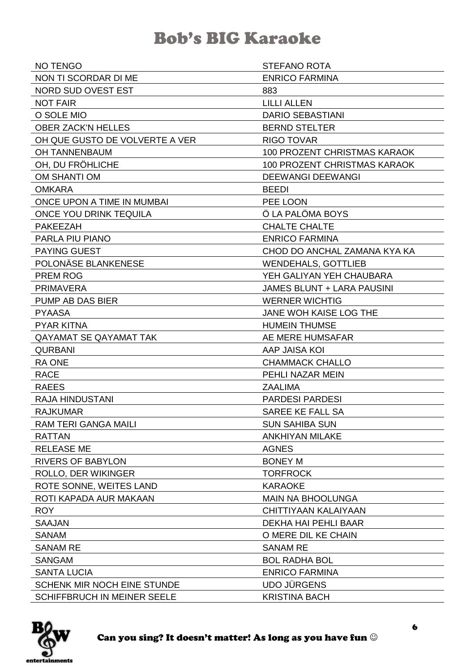| <b>NO TENGO</b>                | <b>STEFANO ROTA</b>                 |
|--------------------------------|-------------------------------------|
| NON TI SCORDAR DI ME           | <b>ENRICO FARMINA</b>               |
| NORD SUD OVEST EST             | 883                                 |
| <b>NOT FAIR</b>                | <b>LILLI ALLEN</b>                  |
| O SOLE MIO                     | <b>DARIO SEBASTIANI</b>             |
| <b>OBER ZACK'N HELLES</b>      | <b>BERND STELTER</b>                |
| OH QUE GUSTO DE VOLVERTE A VER | <b>RIGO TOVAR</b>                   |
| <b>OH TANNENBAUM</b>           | <b>100 PROZENT CHRISTMAS KARAOK</b> |
| OH, DU FRÖHLICHE               | <b>100 PROZENT CHRISTMAS KARAOK</b> |
| OM SHANTI OM                   | <b>DEEWANGI DEEWANGI</b>            |
| <b>OMKARA</b>                  | <b>BEEDI</b>                        |
| ONCE UPON A TIME IN MUMBAI     | PEE LOON                            |
| ONCE YOU DRINK TEQUILA         | Ö LA PALÖMA BOYS                    |
| <b>PAKEEZAH</b>                | <b>CHALTE CHALTE</b>                |
| <b>PARLA PIU PIANO</b>         | <b>ENRICO FARMINA</b>               |
| <b>PAYING GUEST</b>            | CHOD DO ANCHAL ZAMANA KYA KA        |
| POLONÄSE BLANKENESE            | <b>WENDEHALS, GOTTLIEB</b>          |
| <b>PREM ROG</b>                | YEH GALIYAN YEH CHAUBARA            |
| <b>PRIMAVERA</b>               | <b>JAMES BLUNT + LARA PAUSINI</b>   |
| PUMP AB DAS BIER               | <b>WERNER WICHTIG</b>               |
| <b>PYAASA</b>                  | JANE WOH KAISE LOG THE              |
| <b>PYAR KITNA</b>              | <b>HUMEIN THUMSE</b>                |
| QAYAMAT SE QAYAMAT TAK         | AE MERE HUMSAFAR                    |
| <b>QURBANI</b>                 | AAP JAISA KOI                       |
| <b>RA ONE</b>                  | <b>CHAMMACK CHALLO</b>              |
| <b>RACE</b>                    | PEHLI NAZAR MEIN                    |
| <b>RAEES</b>                   | <b>ZAALIMA</b>                      |
| <b>RAJA HINDUSTANI</b>         | <b>PARDESI PARDESI</b>              |
| <b>RAJKUMAR</b>                | SAREE KE FALL SA                    |
| <b>RAM TERI GANGA MAILI</b>    | <b>SUN SAHIBA SUN</b>               |
| <b>RATTAN</b>                  | <b>ANKHIYAN MILAKE</b>              |
| <b>RELEASE ME</b>              | <b>AGNES</b>                        |
| <b>RIVERS OF BABYLON</b>       | <b>BONEY M</b>                      |
| ROLLO, DER WIKINGER            | <b>TORFROCK</b>                     |
| ROTE SONNE, WEITES LAND        | <b>KARAOKE</b>                      |
| ROTI KAPADA AUR MAKAAN         | <b>MAIN NA BHOOLUNGA</b>            |
| <b>ROY</b>                     | CHITTIYAAN KALAIYAAN                |
| <b>SAAJAN</b>                  | DEKHA HAI PEHLI BAAR                |
| <b>SANAM</b>                   | O MERE DIL KE CHAIN                 |
| <b>SANAM RE</b>                | <b>SANAM RE</b>                     |
| <b>SANGAM</b>                  | <b>BOL RADHA BOL</b>                |
| <b>SANTA LUCIA</b>             | <b>ENRICO FARMINA</b>               |
| SCHENK MIR NOCH EINE STUNDE    | <b>UDO JÜRGENS</b>                  |
| SCHIFFBRUCH IN MEINER SEELE    | <b>KRISTINA BACH</b>                |

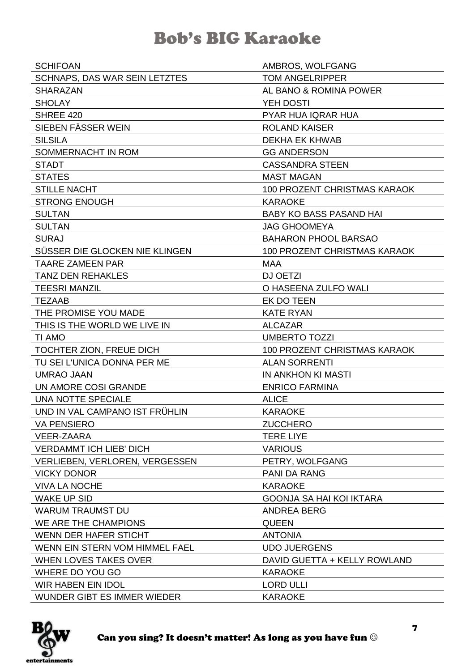| <b>SCHIFOAN</b>                       | AMBROS, WOLFGANG                    |
|---------------------------------------|-------------------------------------|
| <b>SCHNAPS, DAS WAR SEIN LETZTES</b>  | <b>TOM ANGELRIPPER</b>              |
| <b>SHARAZAN</b>                       | AL BANO & ROMINA POWER              |
| <b>SHOLAY</b>                         | YEH DOSTI                           |
| SHREE 420                             | PYAR HUA IQRAR HUA                  |
| SIEBEN FÄSSER WEIN                    | <b>ROLAND KAISER</b>                |
| <b>SILSILA</b>                        | <b>DEKHA EK KHWAB</b>               |
| SOMMERNACHT IN ROM                    | <b>GG ANDERSON</b>                  |
| <b>STADT</b>                          | <b>CASSANDRA STEEN</b>              |
| <b>STATES</b>                         | <b>MAST MAGAN</b>                   |
| <b>STILLE NACHT</b>                   | 100 PROZENT CHRISTMAS KARAOK        |
| <b>STRONG ENOUGH</b>                  | <b>KARAOKE</b>                      |
| <b>SULTAN</b>                         | <b>BABY KO BASS PASAND HAI</b>      |
| <b>SULTAN</b>                         | <b>JAG GHOOMEYA</b>                 |
| <b>SURAJ</b>                          | <b>BAHARON PHOOL BARSAO</b>         |
| SÜSSER DIE GLOCKEN NIE KLINGEN        | <b>100 PROZENT CHRISTMAS KARAOK</b> |
| <b>TAARE ZAMEEN PAR</b>               | <b>MAA</b>                          |
| <b>TANZ DEN REHAKLES</b>              | DJ OETZI                            |
| <b>TEESRI MANZIL</b>                  | O HASEENA ZULFO WALI                |
| <b>TEZAAB</b>                         | EK DO TEEN                          |
| THE PROMISE YOU MADE                  | <b>KATE RYAN</b>                    |
| THIS IS THE WORLD WE LIVE IN          | <b>ALCAZAR</b>                      |
| TI AMO                                | <b>UMBERTO TOZZI</b>                |
| TOCHTER ZION, FREUE DICH              | 100 PROZENT CHRISTMAS KARAOK        |
| TU SEI L'UNICA DONNA PER ME           | <b>ALAN SORRENTI</b>                |
| <b>UMRAO JAAN</b>                     | IN ANKHON KI MASTI                  |
| UN AMORE COSI GRANDE                  | <b>ENRICO FARMINA</b>               |
| UNA NOTTE SPECIALE                    | <b>ALICE</b>                        |
| UND IN VAL CAMPANO IST FRÜHLIN        | <b>KARAOKE</b>                      |
| <b>VA PENSIERO</b>                    | <b>ZUCCHERO</b>                     |
| <b>VEER-ZAARA</b>                     | <b>TERE LIYE</b>                    |
| <b>VERDAMMT ICH LIEB' DICH</b>        | <b>VARIOUS</b>                      |
| <b>VERLIEBEN, VERLOREN, VERGESSEN</b> | PETRY, WOLFGANG                     |
| <b>VICKY DONOR</b>                    | <b>PANI DA RANG</b>                 |
| <b>VIVA LA NOCHE</b>                  | <b>KARAOKE</b>                      |
| <b>WAKE UP SID</b>                    | <b>GOONJA SA HAI KOI IKTARA</b>     |
| <b>WARUM TRAUMST DU</b>               | <b>ANDREA BERG</b>                  |
| WE ARE THE CHAMPIONS                  |                                     |
|                                       | <b>QUEEN</b>                        |
| WENN DER HAFER STICHT                 | <b>ANTONIA</b>                      |
| WENN EIN STERN VOM HIMMEL FAEL        | <b>UDO JUERGENS</b>                 |
| <b>WHEN LOVES TAKES OVER</b>          | DAVID GUETTA + KELLY ROWLAND        |
| WHERE DO YOU GO                       | <b>KARAOKE</b>                      |
| <b>WIR HABEN EIN IDOL</b>             | <b>LORD ULLI</b>                    |